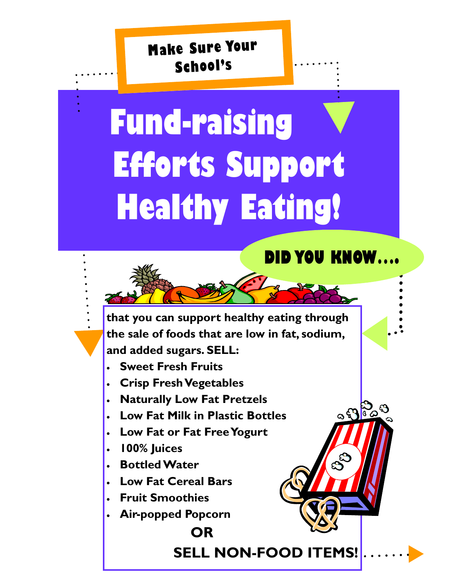